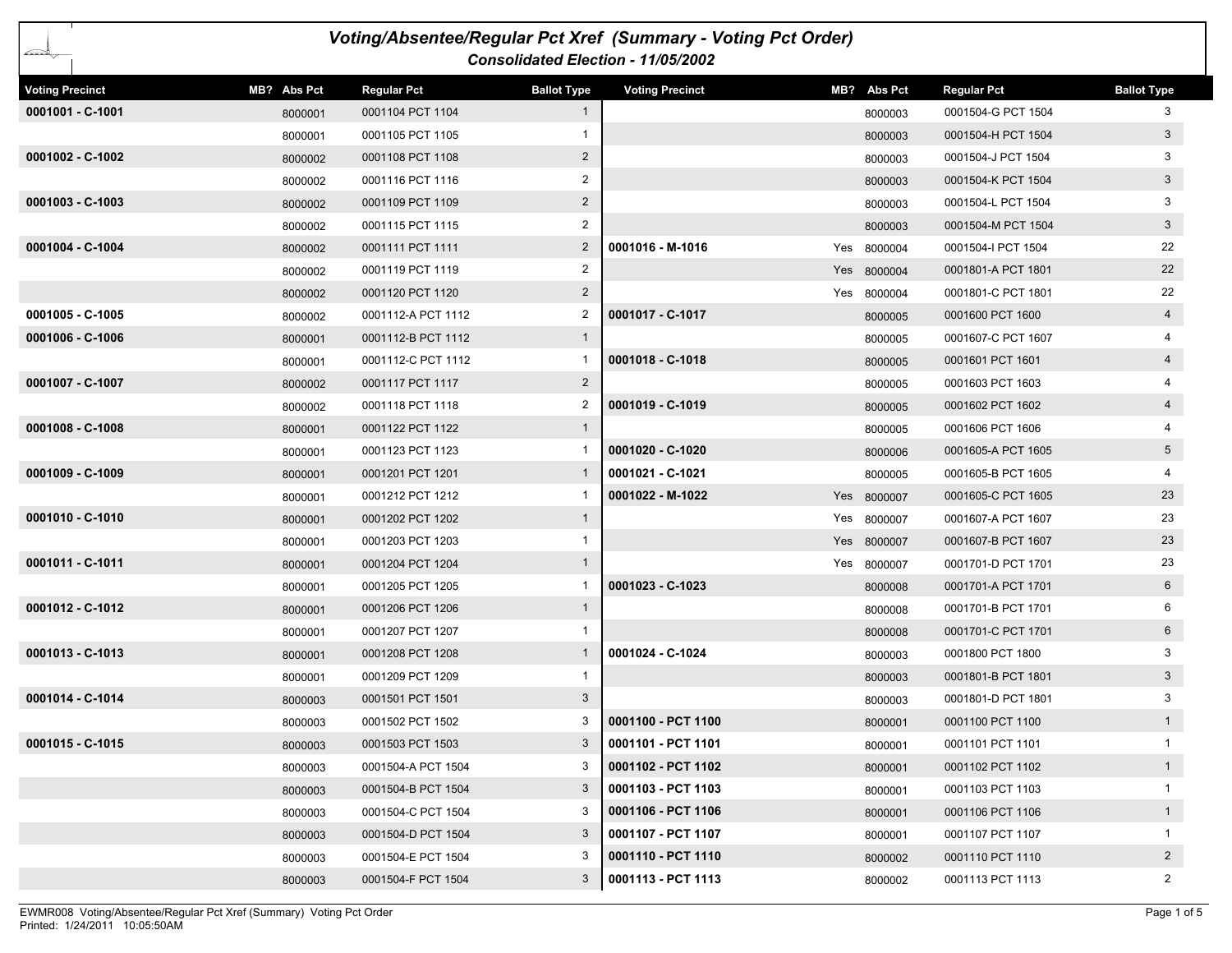| Voting/Absentee/Regular Pct Xref (Summary - Voting Pct Order)<br>Consolidated Election - 11/05/2002 |             |                    |                    |                        |     |             |                    |                    |  |
|-----------------------------------------------------------------------------------------------------|-------------|--------------------|--------------------|------------------------|-----|-------------|--------------------|--------------------|--|
| <b>Voting Precinct</b>                                                                              | MB? Abs Pct | <b>Regular Pct</b> | <b>Ballot Type</b> | <b>Voting Precinct</b> |     | MB? Abs Pct | <b>Regular Pct</b> | <b>Ballot Type</b> |  |
| 0001001 - C-1001                                                                                    | 8000001     | 0001104 PCT 1104   | $\mathbf{1}$       |                        |     | 8000003     | 0001504-G PCT 1504 | 3                  |  |
|                                                                                                     | 8000001     | 0001105 PCT 1105   | 1                  |                        |     | 8000003     | 0001504-H PCT 1504 | 3 <sup>5</sup>     |  |
| 0001002 - C-1002                                                                                    | 8000002     | 0001108 PCT 1108   | $\overline{2}$     |                        |     | 8000003     | 0001504-J PCT 1504 | 3                  |  |
|                                                                                                     | 8000002     | 0001116 PCT 1116   | $\overline{2}$     |                        |     | 8000003     | 0001504-K PCT 1504 | 3                  |  |
| $0001003 - C-1003$                                                                                  | 8000002     | 0001109 PCT 1109   | $\overline{2}$     |                        |     | 8000003     | 0001504-L PCT 1504 | 3                  |  |
|                                                                                                     | 8000002     | 0001115 PCT 1115   | 2                  |                        |     | 8000003     | 0001504-M PCT 1504 | $\mathbf{3}$       |  |
| 0001004 - C-1004                                                                                    | 8000002     | 0001111 PCT 1111   | $\overline{2}$     | 0001016 - M-1016       |     | Yes 8000004 | 0001504-I PCT 1504 | 22                 |  |
|                                                                                                     | 8000002     | 0001119 PCT 1119   | $\overline{c}$     |                        |     | Yes 8000004 | 0001801-A PCT 1801 | 22                 |  |
|                                                                                                     | 8000002     | 0001120 PCT 1120   | $2^{\circ}$        |                        |     | Yes 8000004 | 0001801-C PCT 1801 | 22                 |  |
| $0001005 - C - 1005$                                                                                | 8000002     | 0001112-A PCT 1112 | 2                  | 0001017 - C-1017       |     | 8000005     | 0001600 PCT 1600   | 4                  |  |
| 0001006 - C-1006                                                                                    | 8000001     | 0001112-B PCT 1112 | $\mathbf{1}$       |                        |     | 8000005     | 0001607-C PCT 1607 |                    |  |
|                                                                                                     | 8000001     | 0001112-C PCT 1112 |                    | 0001018 - C-1018       |     | 8000005     | 0001601 PCT 1601   | $\overline{4}$     |  |
| 0001007 - C-1007                                                                                    | 8000002     | 0001117 PCT 1117   | $\overline{2}$     |                        |     | 8000005     | 0001603 PCT 1603   |                    |  |
|                                                                                                     | 8000002     | 0001118 PCT 1118   | 2                  | 0001019 - C-1019       |     | 8000005     | 0001602 PCT 1602   | $\overline{4}$     |  |
| 0001008 - C-1008                                                                                    | 8000001     | 0001122 PCT 1122   | $\mathbf{1}$       |                        |     | 8000005     | 0001606 PCT 1606   |                    |  |
|                                                                                                     | 8000001     | 0001123 PCT 1123   |                    | 0001020 - C-1020       |     | 8000006     | 0001605-A PCT 1605 | 5 <sup>5</sup>     |  |
| $0001009 - C - 1009$                                                                                | 8000001     | 0001201 PCT 1201   | $\mathbf{1}$       | 0001021 - C-1021       |     | 8000005     | 0001605-B PCT 1605 |                    |  |
|                                                                                                     | 8000001     | 0001212 PCT 1212   |                    | 0001022 - M-1022       | Yes | 8000007     | 0001605-C PCT 1605 | 23                 |  |
| 0001010 - C-1010                                                                                    | 8000001     | 0001202 PCT 1202   | $\mathbf{1}$       |                        |     | Yes 8000007 | 0001607-A PCT 1607 | 23                 |  |
|                                                                                                     | 8000001     | 0001203 PCT 1203   | 1                  |                        |     | Yes 8000007 | 0001607-B PCT 1607 | 23                 |  |
| 0001011 - C-1011                                                                                    | 8000001     | 0001204 PCT 1204   | $\mathbf{1}$       |                        |     | Yes 8000007 | 0001701-D PCT 1701 | 23                 |  |
|                                                                                                     | 8000001     | 0001205 PCT 1205   |                    | 0001023 - C-1023       |     | 8000008     | 0001701-A PCT 1701 | 6                  |  |
| 0001012 - C-1012                                                                                    | 8000001     | 0001206 PCT 1206   | $\mathbf{1}$       |                        |     | 8000008     | 0001701-B PCT 1701 | 6                  |  |
|                                                                                                     | 8000001     | 0001207 PCT 1207   | 1                  |                        |     | 8000008     | 0001701-C PCT 1701 | 6                  |  |
| 0001013 - C-1013                                                                                    | 8000001     | 0001208 PCT 1208   | $\mathbf{1}$       | 0001024 - C-1024       |     | 8000003     | 0001800 PCT 1800   | 3                  |  |
|                                                                                                     | 8000001     | 0001209 PCT 1209   | 1                  |                        |     | 8000003     | 0001801-B PCT 1801 | $\mathbf{3}$       |  |
| 0001014 - C-1014                                                                                    | 8000003     | 0001501 PCT 1501   | 3                  |                        |     | 8000003     | 0001801-D PCT 1801 | 3                  |  |
|                                                                                                     | 8000003     | 0001502 PCT 1502   |                    | 0001100 - PCT 1100     |     | 8000001     | 0001100 PCT 1100   |                    |  |
| 0001015 - C-1015                                                                                    | 8000003     | 0001503 PCT 1503   | 3                  | 0001101 - PCT 1101     |     | 8000001     | 0001101 PCT 1101   | 1                  |  |
|                                                                                                     | 8000003     | 0001504-A PCT 1504 | 3                  | 0001102 - PCT 1102     |     | 8000001     | 0001102 PCT 1102   | 1                  |  |
|                                                                                                     | 8000003     | 0001504-B PCT 1504 | 3                  | 0001103 - PCT 1103     |     | 8000001     | 0001103 PCT 1103   | $\mathbf{1}$       |  |
|                                                                                                     | 8000003     | 0001504-C PCT 1504 | 3                  | 0001106 - PCT 1106     |     | 8000001     | 0001106 PCT 1106   | 1                  |  |
|                                                                                                     | 8000003     | 0001504-D PCT 1504 | 3                  | 0001107 - PCT 1107     |     | 8000001     | 0001107 PCT 1107   | $\mathbf{1}$       |  |
|                                                                                                     | 8000003     | 0001504-E PCT 1504 | 3                  | 0001110 - PCT 1110     |     | 8000002     | 0001110 PCT 1110   | $2^{\circ}$        |  |
|                                                                                                     | 8000003     | 0001504-F PCT 1504 | 3                  | 0001113 - PCT 1113     |     | 8000002     | 0001113 PCT 1113   | $\overline{2}$     |  |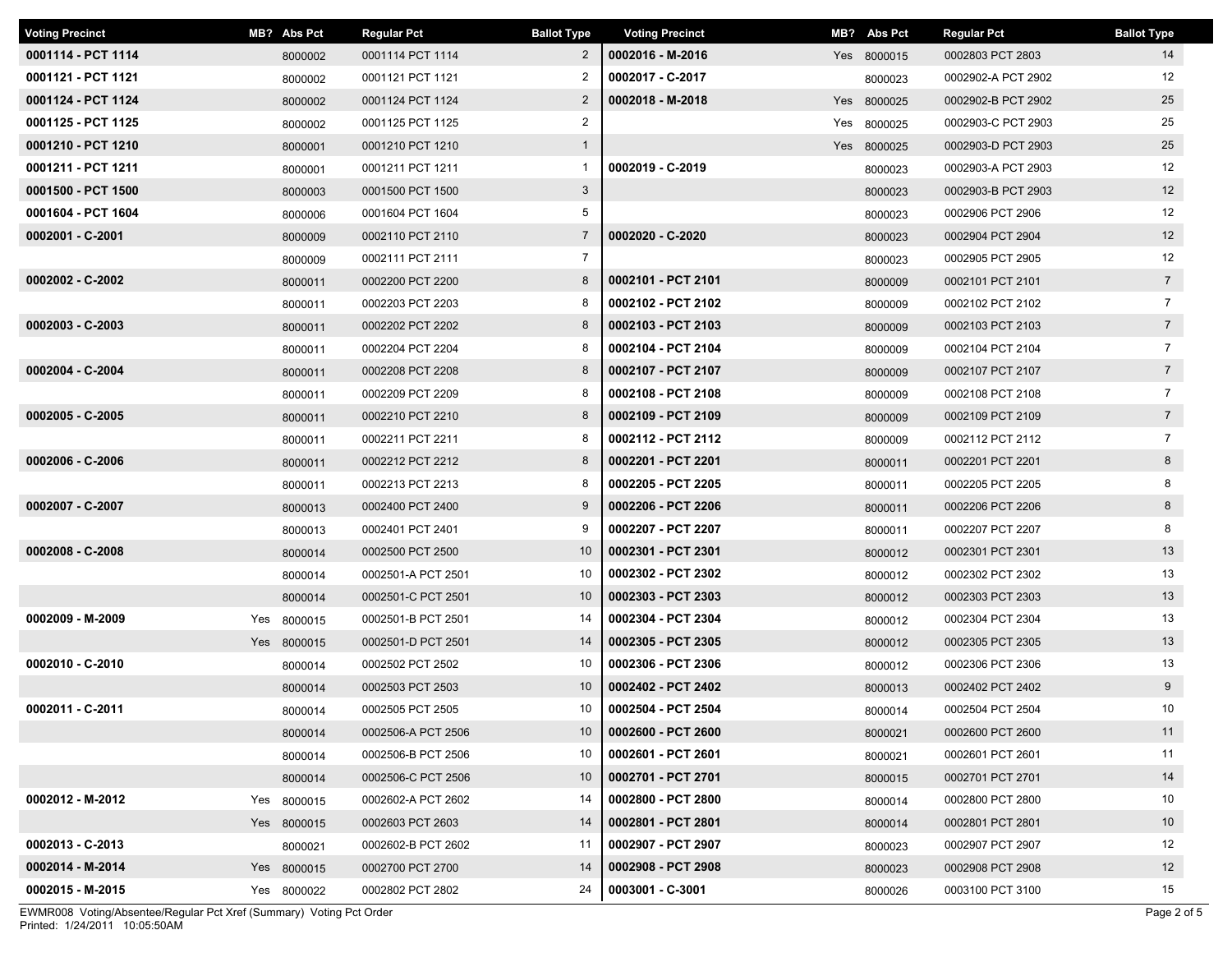| <b>Voting Precinct</b> | MB? Abs Pct | <b>Regular Pct</b> | <b>Ballot Type</b> | <b>Voting Precinct</b> | MB? Abs Pct | <b>Regular Pct</b> | <b>Ballot Type</b> |
|------------------------|-------------|--------------------|--------------------|------------------------|-------------|--------------------|--------------------|
| 0001114 - PCT 1114     | 8000002     | 0001114 PCT 1114   | $\overline{2}$     | 0002016 - M-2016       | Yes 8000015 | 0002803 PCT 2803   | 14                 |
| 0001121 - PCT 1121     | 8000002     | 0001121 PCT 1121   | 2                  | 0002017 - C-2017       | 8000023     | 0002902-A PCT 2902 | 12                 |
| 0001124 - PCT 1124     | 8000002     | 0001124 PCT 1124   | $\overline{2}$     | 0002018 - M-2018       | Yes 8000025 | 0002902-B PCT 2902 | 25                 |
| 0001125 - PCT 1125     | 8000002     | 0001125 PCT 1125   | $\overline{2}$     |                        | Yes 8000025 | 0002903-C PCT 2903 | 25                 |
| 0001210 - PCT 1210     | 8000001     | 0001210 PCT 1210   | $\mathbf{1}$       |                        | Yes 8000025 | 0002903-D PCT 2903 | 25                 |
| 0001211 - PCT 1211     | 8000001     | 0001211 PCT 1211   | $\mathbf{1}$       | 0002019 - C-2019       | 8000023     | 0002903-A PCT 2903 | 12                 |
| 0001500 - PCT 1500     | 8000003     | 0001500 PCT 1500   | $\mathbf{3}$       |                        | 8000023     | 0002903-B PCT 2903 | 12                 |
| 0001604 - PCT 1604     | 8000006     | 0001604 PCT 1604   | 5                  |                        | 8000023     | 0002906 PCT 2906   | 12                 |
| 0002001 - C-2001       | 8000009     | 0002110 PCT 2110   | $\overline{7}$     | 0002020 - C-2020       | 8000023     | 0002904 PCT 2904   | 12                 |
|                        | 8000009     | 0002111 PCT 2111   | $\overline{7}$     |                        | 8000023     | 0002905 PCT 2905   | 12                 |
| 0002002 - C-2002       | 8000011     | 0002200 PCT 2200   | 8                  | 0002101 - PCT 2101     | 8000009     | 0002101 PCT 2101   | $7\overline{ }$    |
|                        | 8000011     | 0002203 PCT 2203   | 8                  | 0002102 - PCT 2102     | 8000009     | 0002102 PCT 2102   | $\overline{7}$     |
| $0002003 - C-2003$     | 8000011     | 0002202 PCT 2202   | 8                  | 0002103 - PCT 2103     | 8000009     | 0002103 PCT 2103   | $\overline{7}$     |
|                        | 8000011     | 0002204 PCT 2204   | 8                  | 0002104 - PCT 2104     | 8000009     | 0002104 PCT 2104   | $\overline{7}$     |
| 0002004 - C-2004       | 8000011     | 0002208 PCT 2208   | 8                  | 0002107 - PCT 2107     | 8000009     | 0002107 PCT 2107   | $7\overline{ }$    |
|                        | 8000011     | 0002209 PCT 2209   | 8                  | 0002108 - PCT 2108     | 8000009     | 0002108 PCT 2108   | $\overline{7}$     |
| 0002005 - C-2005       | 8000011     | 0002210 PCT 2210   | 8                  | 0002109 - PCT 2109     | 8000009     | 0002109 PCT 2109   | $7\overline{ }$    |
|                        | 8000011     | 0002211 PCT 2211   | 8                  | 0002112 - PCT 2112     | 8000009     | 0002112 PCT 2112   | $\overline{7}$     |
| 0002006 - C-2006       | 8000011     | 0002212 PCT 2212   | 8                  | 0002201 - PCT 2201     | 8000011     | 0002201 PCT 2201   | 8                  |
|                        | 8000011     | 0002213 PCT 2213   | 8                  | 0002205 - PCT 2205     | 8000011     | 0002205 PCT 2205   | 8                  |
| 0002007 - C-2007       | 8000013     | 0002400 PCT 2400   | 9                  | 0002206 - PCT 2206     | 8000011     | 0002206 PCT 2206   | 8                  |
|                        | 8000013     | 0002401 PCT 2401   | 9                  | 0002207 - PCT 2207     | 8000011     | 0002207 PCT 2207   | 8                  |
| 0002008 - C-2008       | 8000014     | 0002500 PCT 2500   | 10 <sup>°</sup>    | 0002301 - PCT 2301     | 8000012     | 0002301 PCT 2301   | 13                 |
|                        | 8000014     | 0002501-A PCT 2501 | 10                 | 0002302 - PCT 2302     | 8000012     | 0002302 PCT 2302   | 13                 |
|                        | 8000014     | 0002501-C PCT 2501 | 10                 | 0002303 - PCT 2303     | 8000012     | 0002303 PCT 2303   | 13                 |
| 0002009 - M-2009       | Yes 8000015 | 0002501-B PCT 2501 | 14                 | 0002304 - PCT 2304     | 8000012     | 0002304 PCT 2304   | 13                 |
|                        | Yes 8000015 | 0002501-D PCT 2501 | 14                 | 0002305 - PCT 2305     | 8000012     | 0002305 PCT 2305   | 13                 |
| 0002010 - C-2010       | 8000014     | 0002502 PCT 2502   | 10                 | 0002306 - PCT 2306     | 8000012     | 0002306 PCT 2306   | 13                 |
|                        | 8000014     | 0002503 PCT 2503   | 10                 | 0002402 - PCT 2402     | 8000013     | 0002402 PCT 2402   | $9^{\circ}$        |
| 0002011 - C-2011       | 8000014     | 0002505 PCT 2505   | 10                 | 0002504 - PCT 2504     | 8000014     | 0002504 PCT 2504   | 10                 |
|                        | 8000014     | 0002506-A PCT 2506 | 10                 | 0002600 - PCT 2600     | 8000021     | 0002600 PCT 2600   | 11                 |
|                        | 8000014     | 0002506-B PCT 2506 | 10                 | 0002601 - PCT 2601     | 8000021     | 0002601 PCT 2601   | 11                 |
|                        | 8000014     | 0002506-C PCT 2506 | 10                 | 0002701 - PCT 2701     | 8000015     | 0002701 PCT 2701   | 14                 |
| 0002012 - M-2012       | Yes 8000015 | 0002602-A PCT 2602 | 14                 | 0002800 - PCT 2800     | 8000014     | 0002800 PCT 2800   | 10                 |
|                        | Yes 8000015 | 0002603 PCT 2603   | 14                 | 0002801 - PCT 2801     | 8000014     | 0002801 PCT 2801   | 10 <sup>°</sup>    |
| 0002013 - C-2013       | 8000021     | 0002602-B PCT 2602 | 11                 | 0002907 - PCT 2907     | 8000023     | 0002907 PCT 2907   | 12                 |
| 0002014 - M-2014       | Yes 8000015 | 0002700 PCT 2700   | 14                 | 0002908 - PCT 2908     | 8000023     | 0002908 PCT 2908   | 12                 |
| 0002015 - M-2015       | Yes 8000022 | 0002802 PCT 2802   | 24                 | 0003001 - C-3001       | 8000026     | 0003100 PCT 3100   | 15                 |

Printed: 1/24/2011 10:05:50AM EWMR008 Voting/Absentee/Regular Pct Xref (Summary) Voting Pct Order Page 2 of 5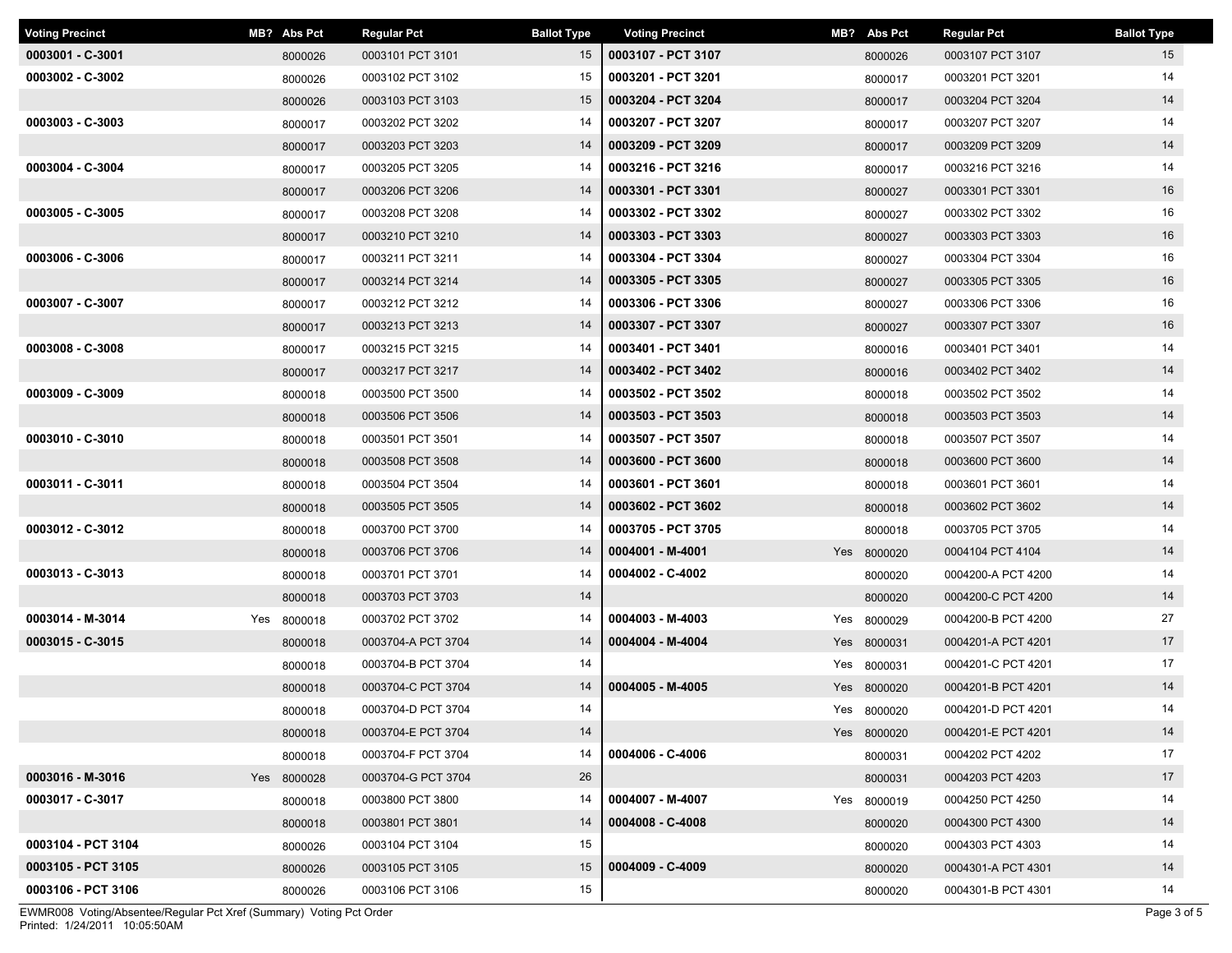| <b>Voting Precinct</b> | MB? Abs Pct | <b>Regular Pct</b> | <b>Ballot Type</b> | <b>Voting Precinct</b> | MB? Abs Pct | <b>Regular Pct</b> | <b>Ballot Type</b> |
|------------------------|-------------|--------------------|--------------------|------------------------|-------------|--------------------|--------------------|
| 0003001 - C-3001       | 8000026     | 0003101 PCT 3101   | 15                 | 0003107 - PCT 3107     | 8000026     | 0003107 PCT 3107   | 15                 |
| $0003002 - C-3002$     | 8000026     | 0003102 PCT 3102   | 15                 | 0003201 - PCT 3201     | 8000017     | 0003201 PCT 3201   | 14                 |
|                        | 8000026     | 0003103 PCT 3103   | 15                 | 0003204 - PCT 3204     | 8000017     | 0003204 PCT 3204   | 14                 |
| 0003003 - C-3003       | 8000017     | 0003202 PCT 3202   | 14                 | 0003207 - PCT 3207     | 8000017     | 0003207 PCT 3207   | 14                 |
|                        | 8000017     | 0003203 PCT 3203   | 14                 | 0003209 - PCT 3209     | 8000017     | 0003209 PCT 3209   | 14                 |
| 0003004 - C-3004       | 8000017     | 0003205 PCT 3205   | 14                 | 0003216 - PCT 3216     | 8000017     | 0003216 PCT 3216   | 14                 |
|                        | 8000017     | 0003206 PCT 3206   | 14                 | 0003301 - PCT 3301     | 8000027     | 0003301 PCT 3301   | 16                 |
| 0003005 - C-3005       | 8000017     | 0003208 PCT 3208   | 14                 | 0003302 - PCT 3302     | 8000027     | 0003302 PCT 3302   | 16                 |
|                        | 8000017     | 0003210 PCT 3210   | 14                 | 0003303 - PCT 3303     | 8000027     | 0003303 PCT 3303   | 16                 |
| 0003006 - C-3006       | 8000017     | 0003211 PCT 3211   | 14                 | 0003304 - PCT 3304     | 8000027     | 0003304 PCT 3304   | 16                 |
|                        | 8000017     | 0003214 PCT 3214   | 14                 | 0003305 - PCT 3305     | 8000027     | 0003305 PCT 3305   | 16                 |
| 0003007 - C-3007       | 8000017     | 0003212 PCT 3212   | 14                 | 0003306 - PCT 3306     | 8000027     | 0003306 PCT 3306   | 16                 |
|                        | 8000017     | 0003213 PCT 3213   | 14                 | 0003307 - PCT 3307     | 8000027     | 0003307 PCT 3307   | 16                 |
| 0003008 - C-3008       | 8000017     | 0003215 PCT 3215   | 14                 | 0003401 - PCT 3401     | 8000016     | 0003401 PCT 3401   | 14                 |
|                        | 8000017     | 0003217 PCT 3217   | 14                 | 0003402 - PCT 3402     | 8000016     | 0003402 PCT 3402   | 14                 |
| 0003009 - C-3009       | 8000018     | 0003500 PCT 3500   | 14                 | 0003502 - PCT 3502     | 8000018     | 0003502 PCT 3502   | 14                 |
|                        | 8000018     | 0003506 PCT 3506   | 14                 | 0003503 - PCT 3503     | 8000018     | 0003503 PCT 3503   | 14                 |
| 0003010 - C-3010       | 8000018     | 0003501 PCT 3501   | 14                 | 0003507 - PCT 3507     | 8000018     | 0003507 PCT 3507   | 14                 |
|                        | 8000018     | 0003508 PCT 3508   | 14                 | 0003600 - PCT 3600     | 8000018     | 0003600 PCT 3600   | 14                 |
| 0003011 - C-3011       | 8000018     | 0003504 PCT 3504   | 14                 | 0003601 - PCT 3601     | 8000018     | 0003601 PCT 3601   | 14                 |
|                        | 8000018     | 0003505 PCT 3505   | 14                 | 0003602 - PCT 3602     | 8000018     | 0003602 PCT 3602   | 14                 |
| 0003012 - C-3012       | 8000018     | 0003700 PCT 3700   | 14                 | 0003705 - PCT 3705     | 8000018     | 0003705 PCT 3705   | 14                 |
|                        | 8000018     | 0003706 PCT 3706   | 14                 | 0004001 - M-4001       | Yes 8000020 | 0004104 PCT 4104   | 14                 |
| 0003013 - C-3013       | 8000018     | 0003701 PCT 3701   | 14                 | 0004002 - C-4002       | 8000020     | 0004200-A PCT 4200 | 14                 |
|                        | 8000018     | 0003703 PCT 3703   | 14                 |                        | 8000020     | 0004200-C PCT 4200 | 14                 |
| 0003014 - M-3014       | Yes 8000018 | 0003702 PCT 3702   | 14                 | 0004003 - M-4003       | Yes 8000029 | 0004200-B PCT 4200 | 27                 |
| 0003015 - C-3015       | 8000018     | 0003704-A PCT 3704 | 14                 | 0004004 - M-4004       | Yes 8000031 | 0004201-A PCT 4201 | 17                 |
|                        | 8000018     | 0003704-B PCT 3704 | 14                 |                        | Yes 8000031 | 0004201-C PCT 4201 | 17                 |
|                        | 8000018     | 0003704-C PCT 3704 | 14                 | 0004005 - M-4005       | Yes 8000020 | 0004201-B PCT 4201 | 14                 |
|                        | 8000018     | 0003704-D PCT 3704 | 14                 |                        | Yes 8000020 | 0004201-D PCT 4201 | 14                 |
|                        | 8000018     | 0003704-E PCT 3704 | 14                 |                        | Yes 8000020 | 0004201-E PCT 4201 | 14                 |
|                        | 8000018     | 0003704-F PCT 3704 | 14                 | 0004006 - C-4006       | 8000031     | 0004202 PCT 4202   | 17                 |
| 0003016 - M-3016       | Yes 8000028 | 0003704-G PCT 3704 | 26                 |                        | 8000031     | 0004203 PCT 4203   | 17                 |
| 0003017 - C-3017       | 8000018     | 0003800 PCT 3800   | 14                 | 0004007 - M-4007       | Yes 8000019 | 0004250 PCT 4250   | 14                 |
|                        | 8000018     | 0003801 PCT 3801   | 14                 | 0004008 - C-4008       | 8000020     | 0004300 PCT 4300   | 14                 |
| 0003104 - PCT 3104     | 8000026     | 0003104 PCT 3104   | 15                 |                        | 8000020     | 0004303 PCT 4303   | 14                 |
| 0003105 - PCT 3105     | 8000026     | 0003105 PCT 3105   | 15                 | 0004009 - C-4009       | 8000020     | 0004301-A PCT 4301 | 14                 |
| 0003106 - PCT 3106     | 8000026     | 0003106 PCT 3106   | 15                 |                        | 8000020     | 0004301-B PCT 4301 | 14                 |

Printed: 1/24/2011 10:05:50AM EWMR008 Voting/Absentee/Regular Pct Xref (Summary) Voting Pct Order Page 3 of 5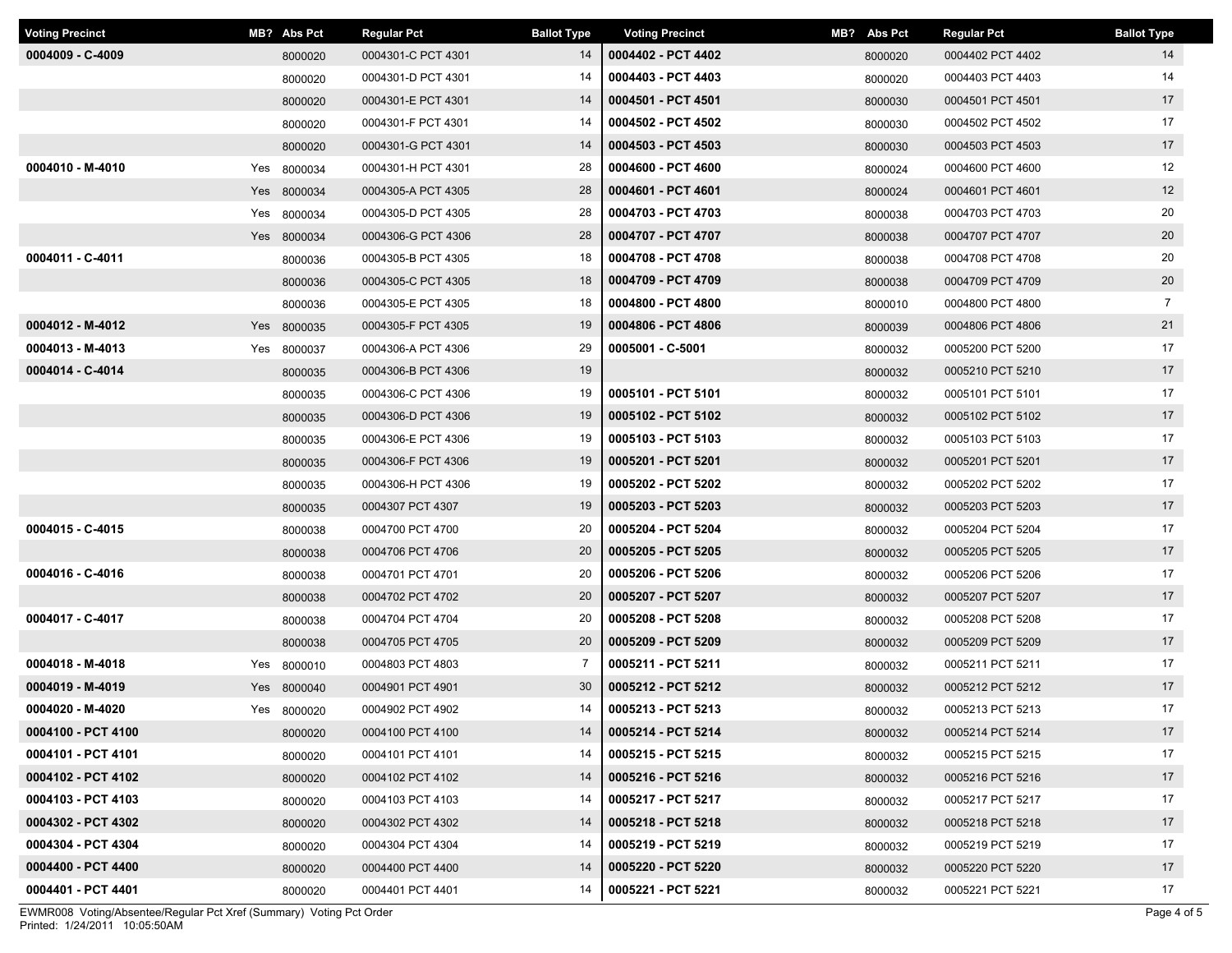| <b>Voting Precinct</b> | MB? Abs Pct | <b>Regular Pct</b> | <b>Ballot Type</b> | <b>Voting Precinct</b> | MB? Abs Pct | <b>Regular Pct</b> | <b>Ballot Type</b> |
|------------------------|-------------|--------------------|--------------------|------------------------|-------------|--------------------|--------------------|
| 0004009 - C-4009       | 8000020     | 0004301-C PCT 4301 | 14                 | 0004402 - PCT 4402     | 8000020     | 0004402 PCT 4402   | 14                 |
|                        | 8000020     | 0004301-D PCT 4301 | 14                 | 0004403 - PCT 4403     | 8000020     | 0004403 PCT 4403   | 14                 |
|                        | 8000020     | 0004301-E PCT 4301 | 14                 | 0004501 - PCT 4501     | 8000030     | 0004501 PCT 4501   | 17                 |
|                        | 8000020     | 0004301-F PCT 4301 | 14                 | 0004502 - PCT 4502     | 8000030     | 0004502 PCT 4502   | 17                 |
|                        | 8000020     | 0004301-G PCT 4301 | 14                 | 0004503 - PCT 4503     | 8000030     | 0004503 PCT 4503   | 17                 |
| 0004010 - M-4010       | Yes 8000034 | 0004301-H PCT 4301 | 28                 | 0004600 - PCT 4600     | 8000024     | 0004600 PCT 4600   | 12                 |
|                        | Yes 8000034 | 0004305-A PCT 4305 | 28                 | 0004601 - PCT 4601     | 8000024     | 0004601 PCT 4601   | 12                 |
|                        | Yes 8000034 | 0004305-D PCT 4305 | 28                 | 0004703 - PCT 4703     | 8000038     | 0004703 PCT 4703   | 20                 |
|                        | Yes 8000034 | 0004306-G PCT 4306 | 28                 | 0004707 - PCT 4707     | 8000038     | 0004707 PCT 4707   | 20                 |
| 0004011 - C-4011       | 8000036     | 0004305-B PCT 4305 | 18                 | 0004708 - PCT 4708     | 8000038     | 0004708 PCT 4708   | 20                 |
|                        | 8000036     | 0004305-C PCT 4305 | 18                 | 0004709 - PCT 4709     | 8000038     | 0004709 PCT 4709   | 20                 |
|                        | 8000036     | 0004305-E PCT 4305 | 18                 | 0004800 - PCT 4800     | 8000010     | 0004800 PCT 4800   | $\overline{7}$     |
| 0004012 - M-4012       | Yes 8000035 | 0004305-F PCT 4305 | 19                 | 0004806 - PCT 4806     | 8000039     | 0004806 PCT 4806   | 21                 |
| 0004013 - M-4013       | Yes 8000037 | 0004306-A PCT 4306 | 29                 | 0005001 - C-5001       | 8000032     | 0005200 PCT 5200   | 17                 |
| 0004014 - C-4014       | 8000035     | 0004306-B PCT 4306 | 19                 |                        | 8000032     | 0005210 PCT 5210   | 17                 |
|                        | 8000035     | 0004306-C PCT 4306 | 19                 | 0005101 - PCT 5101     | 8000032     | 0005101 PCT 5101   | 17                 |
|                        | 8000035     | 0004306-D PCT 4306 | 19                 | 0005102 - PCT 5102     | 8000032     | 0005102 PCT 5102   | 17                 |
|                        | 8000035     | 0004306-E PCT 4306 | 19                 | 0005103 - PCT 5103     | 8000032     | 0005103 PCT 5103   | 17                 |
|                        | 8000035     | 0004306-F PCT 4306 | 19                 | 0005201 - PCT 5201     | 8000032     | 0005201 PCT 5201   | 17                 |
|                        | 8000035     | 0004306-H PCT 4306 | 19                 | 0005202 - PCT 5202     | 8000032     | 0005202 PCT 5202   | 17                 |
|                        | 8000035     | 0004307 PCT 4307   | 19                 | 0005203 - PCT 5203     | 8000032     | 0005203 PCT 5203   | 17                 |
| 0004015 - C-4015       | 8000038     | 0004700 PCT 4700   | 20                 | 0005204 - PCT 5204     | 8000032     | 0005204 PCT 5204   | 17                 |
|                        | 8000038     | 0004706 PCT 4706   | 20                 | 0005205 - PCT 5205     | 8000032     | 0005205 PCT 5205   | 17                 |
| 0004016 - C-4016       | 8000038     | 0004701 PCT 4701   | 20                 | 0005206 - PCT 5206     | 8000032     | 0005206 PCT 5206   | 17                 |
|                        | 8000038     | 0004702 PCT 4702   | 20                 | 0005207 - PCT 5207     | 8000032     | 0005207 PCT 5207   | 17                 |
| 0004017 - C-4017       | 8000038     | 0004704 PCT 4704   | 20                 | 0005208 - PCT 5208     | 8000032     | 0005208 PCT 5208   | 17                 |
|                        | 8000038     | 0004705 PCT 4705   | 20                 | 0005209 - PCT 5209     | 8000032     | 0005209 PCT 5209   | 17                 |
| 0004018 - M-4018       | Yes 8000010 | 0004803 PCT 4803   | 7                  | 0005211 - PCT 5211     | 8000032     | 0005211 PCT 5211   | 17                 |
| 0004019 - M-4019       | Yes 8000040 | 0004901 PCT 4901   | 30                 | 0005212 - PCT 5212     | 8000032     | 0005212 PCT 5212   | 17                 |
| 0004020 - M-4020       | Yes 8000020 | 0004902 PCT 4902   | 14                 | 0005213 - PCT 5213     | 8000032     | 0005213 PCT 5213   | 17                 |
| 0004100 - PCT 4100     | 8000020     | 0004100 PCT 4100   | 14                 | 0005214 - PCT 5214     | 8000032     | 0005214 PCT 5214   | 17                 |
| 0004101 - PCT 4101     | 8000020     | 0004101 PCT 4101   | 14                 | 0005215 - PCT 5215     | 8000032     | 0005215 PCT 5215   | 17                 |
| 0004102 - PCT 4102     | 8000020     | 0004102 PCT 4102   | 14                 | 0005216 - PCT 5216     | 8000032     | 0005216 PCT 5216   | 17                 |
| 0004103 - PCT 4103     | 8000020     | 0004103 PCT 4103   | 14                 | 0005217 - PCT 5217     | 8000032     | 0005217 PCT 5217   | 17                 |
| 0004302 - PCT 4302     | 8000020     | 0004302 PCT 4302   | 14                 | 0005218 - PCT 5218     | 8000032     | 0005218 PCT 5218   | 17                 |
| 0004304 - PCT 4304     | 8000020     | 0004304 PCT 4304   | 14                 | 0005219 - PCT 5219     | 8000032     | 0005219 PCT 5219   | 17                 |
| 0004400 - PCT 4400     | 8000020     | 0004400 PCT 4400   | 14                 | 0005220 - PCT 5220     | 8000032     | 0005220 PCT 5220   | 17                 |
| 0004401 - PCT 4401     | 8000020     | 0004401 PCT 4401   | 14                 | 0005221 - PCT 5221     | 8000032     | 0005221 PCT 5221   | 17                 |